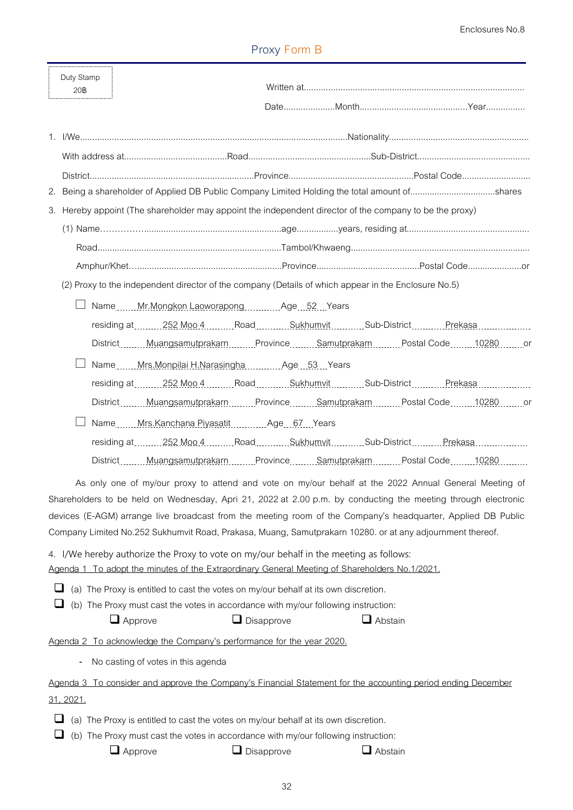## **Proxy Form B**

|        | Duty Stamp<br>20 |                                                                                                                                                                                                                                                                                                                                                                                                                                                     |
|--------|------------------|-----------------------------------------------------------------------------------------------------------------------------------------------------------------------------------------------------------------------------------------------------------------------------------------------------------------------------------------------------------------------------------------------------------------------------------------------------|
|        |                  |                                                                                                                                                                                                                                                                                                                                                                                                                                                     |
|        |                  |                                                                                                                                                                                                                                                                                                                                                                                                                                                     |
|        |                  |                                                                                                                                                                                                                                                                                                                                                                                                                                                     |
|        |                  | 2. Being a shareholder of Applied DB Public Company Limited Holding the total amount ofshares                                                                                                                                                                                                                                                                                                                                                       |
|        |                  | 3. Hereby appoint (The shareholder may appoint the independent director of the company to be the proxy)                                                                                                                                                                                                                                                                                                                                             |
|        |                  |                                                                                                                                                                                                                                                                                                                                                                                                                                                     |
|        |                  |                                                                                                                                                                                                                                                                                                                                                                                                                                                     |
|        |                  |                                                                                                                                                                                                                                                                                                                                                                                                                                                     |
|        |                  | (2) Proxy to the independent director of the company (Details of which appear in the Enclosure No.5)                                                                                                                                                                                                                                                                                                                                                |
|        |                  | Name Mr. Mongkon Laoworapong Age 52. Years                                                                                                                                                                                                                                                                                                                                                                                                          |
|        |                  | residing at 252 Moo 4 _______ Road ________ Sukhumvit ________ Sub-District Prekasa ______________                                                                                                                                                                                                                                                                                                                                                  |
|        |                  | DistrictMuangsamutprakarnProvinceSamutprakarnPostal Code10280or                                                                                                                                                                                                                                                                                                                                                                                     |
|        |                  | Name Mrs.Monpilai H.Narasingha Age 53. Years                                                                                                                                                                                                                                                                                                                                                                                                        |
|        |                  | residing at252 Moo.4RoadSukhumvitSub-DistrictPrekasa                                                                                                                                                                                                                                                                                                                                                                                                |
|        |                  | DistrictMuangsamutprakarnProvinceSamutprakarnPostal Code10280or                                                                                                                                                                                                                                                                                                                                                                                     |
|        |                  | Name Mrs.Kanchana Piyasatit Age 67 Years                                                                                                                                                                                                                                                                                                                                                                                                            |
|        |                  |                                                                                                                                                                                                                                                                                                                                                                                                                                                     |
|        |                  | District Muangsamutprakarn Province Samutprakarn Postal Code 10280                                                                                                                                                                                                                                                                                                                                                                                  |
|        |                  | As only one of my/our proxy to attend and vote on my/our behalf at the 2022 Annual General Meeting of<br>Shareholders to be held on Wednesday, Apri 21, 2022 at 2.00 p.m. by conducting the meeting through electronic<br>devices (E-AGM) arrange live broadcast from the meeting room of the Company's headquarter, Applied DB Public<br>Company Limited No.252 Sukhumvit Road, Prakasa, Muang, Samutprakarn 10280. or at any adjournment thereof. |
|        |                  | 4. I/We hereby authorize the Proxy to vote on my/our behalf in the meeting as follows:                                                                                                                                                                                                                                                                                                                                                              |
|        |                  | Agenda 1 To adopt the minutes of the Extraordinary General Meeting of Shareholders No.1/2021.                                                                                                                                                                                                                                                                                                                                                       |
| ⊔<br>⊔ |                  | (a) The Proxy is entitled to cast the votes on my/our behalf at its own discretion.<br>(b) The Proxy must cast the votes in accordance with my/our following instruction:<br>$\Box$ Abstain<br>$\Box$ Approve<br>$\Box$ Disapprove                                                                                                                                                                                                                  |
|        |                  | Agenda 2 To acknowledge the Company's performance for the year 2020.                                                                                                                                                                                                                                                                                                                                                                                |
|        |                  | No casting of votes in this agenda                                                                                                                                                                                                                                                                                                                                                                                                                  |
|        |                  | Agenda 3 To consider and approve the Company's Financial Statement for the accounting period ending December                                                                                                                                                                                                                                                                                                                                        |
|        | 31, 2021.        |                                                                                                                                                                                                                                                                                                                                                                                                                                                     |
|        |                  | (a) The Proxy is entitled to cast the votes on my/our behalf at its own discretion.                                                                                                                                                                                                                                                                                                                                                                 |

 $\Box$  (b) The Proxy must cast the votes in accordance with my/our following instruction:

 $\Box$  Approve  $\Box$  Disapprove  $\Box$  Abstain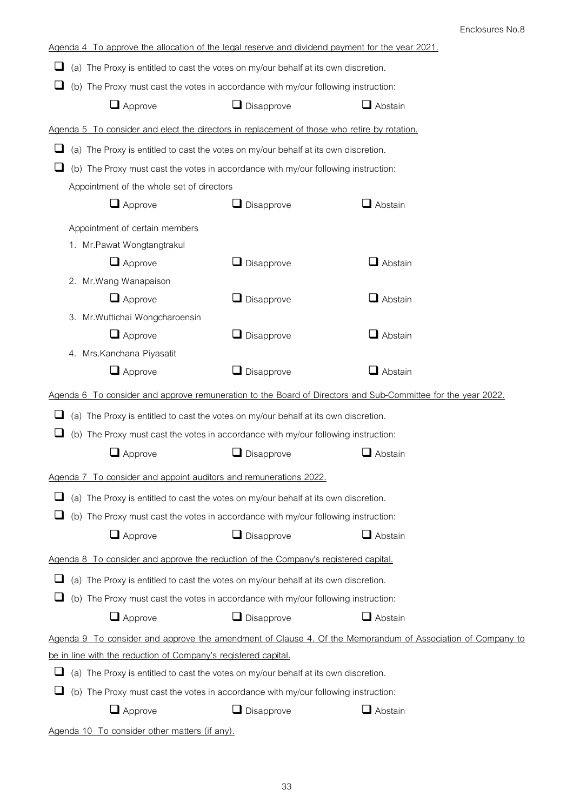| Agenda 4 To approve the allocation of the legal reserve and dividend payment for the year 2021. |                                                                                                              |                   |                                                                                                            |  |  |  |  |
|-------------------------------------------------------------------------------------------------|--------------------------------------------------------------------------------------------------------------|-------------------|------------------------------------------------------------------------------------------------------------|--|--|--|--|
| ⊔                                                                                               | (a) The Proxy is entitled to cast the votes on my/our behalf at its own discretion.                          |                   |                                                                                                            |  |  |  |  |
|                                                                                                 | (b) The Proxy must cast the votes in accordance with my/our following instruction:                           |                   |                                                                                                            |  |  |  |  |
|                                                                                                 | $\Box$ Approve                                                                                               | $\Box$ Disapprove | $\Box$ Abstain                                                                                             |  |  |  |  |
|                                                                                                 | Agenda 5 To consider and elect the directors in replacement of those who retire by rotation.                 |                   |                                                                                                            |  |  |  |  |
|                                                                                                 | (a) The Proxy is entitled to cast the votes on my/our behalf at its own discretion.                          |                   |                                                                                                            |  |  |  |  |
|                                                                                                 | (b) The Proxy must cast the votes in accordance with my/our following instruction:                           |                   |                                                                                                            |  |  |  |  |
|                                                                                                 | Appointment of the whole set of directors                                                                    |                   |                                                                                                            |  |  |  |  |
|                                                                                                 | $\Box$ Approve                                                                                               | Disapprove        | $\Box$ Abstain                                                                                             |  |  |  |  |
|                                                                                                 | Appointment of certain members                                                                               |                   |                                                                                                            |  |  |  |  |
|                                                                                                 | 1. Mr. Pawat Wongtangtrakul                                                                                  |                   |                                                                                                            |  |  |  |  |
|                                                                                                 | $\Box$ Approve                                                                                               | $\Box$ Disapprove | $\Box$ Abstain                                                                                             |  |  |  |  |
|                                                                                                 | 2. Mr. Wang Wanapaison                                                                                       |                   |                                                                                                            |  |  |  |  |
|                                                                                                 | $\Box$ Approve                                                                                               | $\Box$ Disapprove | $\Box$ Abstain                                                                                             |  |  |  |  |
|                                                                                                 | 3. Mr. Wuttichai Wongcharoensin                                                                              |                   |                                                                                                            |  |  |  |  |
|                                                                                                 | $\Box$ Approve                                                                                               | $\Box$ Disapprove | $\Box$ Abstain                                                                                             |  |  |  |  |
|                                                                                                 | 4. Mrs. Kanchana Piyasatit                                                                                   |                   |                                                                                                            |  |  |  |  |
|                                                                                                 | $\Box$ Approve                                                                                               | $\Box$ Disapprove | $\Box$ Abstain                                                                                             |  |  |  |  |
|                                                                                                 | Agenda 6 To consider and approve remuneration to the Board of Directors and Sub-Committee for the year 2022. |                   |                                                                                                            |  |  |  |  |
|                                                                                                 | (a) The Proxy is entitled to cast the votes on my/our behalf at its own discretion.                          |                   |                                                                                                            |  |  |  |  |
|                                                                                                 | (b) The Proxy must cast the votes in accordance with my/our following instruction:                           |                   |                                                                                                            |  |  |  |  |
|                                                                                                 | $\Box$ Approve                                                                                               | $\Box$ Disapprove | $\Box$ Abstain                                                                                             |  |  |  |  |
|                                                                                                 | Agenda 7 To consider and appoint auditors and remunerations 2022.                                            |                   |                                                                                                            |  |  |  |  |
|                                                                                                 | (a) The Proxy is entitled to cast the votes on my/our behalf at its own discretion.                          |                   |                                                                                                            |  |  |  |  |
|                                                                                                 | (b) The Proxy must cast the votes in accordance with my/our following instruction:                           |                   |                                                                                                            |  |  |  |  |
|                                                                                                 | $\Box$ Approve                                                                                               | $\Box$ Disapprove | $\Box$ Abstain                                                                                             |  |  |  |  |
|                                                                                                 | Agenda 8 To consider and approve the reduction of the Company's registered capital.                          |                   |                                                                                                            |  |  |  |  |
|                                                                                                 | (a) The Proxy is entitled to cast the votes on my/our behalf at its own discretion.                          |                   |                                                                                                            |  |  |  |  |
|                                                                                                 | (b) The Proxy must cast the votes in accordance with my/our following instruction:                           |                   |                                                                                                            |  |  |  |  |
|                                                                                                 | $\Box$ Approve                                                                                               | $\Box$ Disapprove | $\Box$ Abstain                                                                                             |  |  |  |  |
|                                                                                                 |                                                                                                              |                   | Agenda 9 To consider and approve the amendment of Clause 4. Of the Memorandum of Association of Company to |  |  |  |  |
| be in line with the reduction of Company's registered capital.                                  |                                                                                                              |                   |                                                                                                            |  |  |  |  |
| ⊔                                                                                               | (a) The Proxy is entitled to cast the votes on my/our behalf at its own discretion.                          |                   |                                                                                                            |  |  |  |  |
| ⊔                                                                                               | (b) The Proxy must cast the votes in accordance with my/our following instruction:                           |                   |                                                                                                            |  |  |  |  |
|                                                                                                 | $\Box$ Approve<br>$\Box$ Abstain<br>$\Box$ Disapprove                                                        |                   |                                                                                                            |  |  |  |  |
|                                                                                                 |                                                                                                              |                   |                                                                                                            |  |  |  |  |

**Agenda 10 To consider other matters (if any).**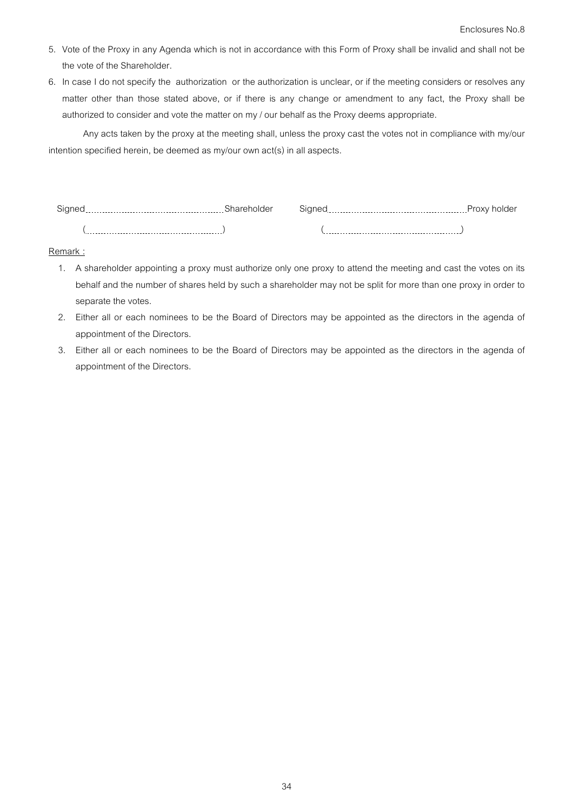- 5. Vote of the Proxy in any Agenda which is not in accordance with this Form of Proxy shall be invalid and shall not be the vote of the Shareholder.
- 6. In case I do not specify the authorization or the authorization is unclear, or if the meeting considers or resolves any matter other than those stated above, or if there is any change or amendment to any fact, the Proxy shall be authorized to consider and vote the matter on my / our behalf as the Proxy deems appropriate.

 Any acts taken by the proxy at the meeting shall, unless the proxy cast the votes not in compliance with my/our intention specified herein, be deemed as my/our own act(s) in all aspects.

| ------<br>$\cdot$                 | $-5.0$ | .<br>.<br>ັ                           | J. |
|-----------------------------------|--------|---------------------------------------|----|
| .<br>.<br>.<br>__________<br>---- |        | .<br>.<br>-------------------<br>---- |    |

## **Remark :**

- 1. A shareholder appointing a proxy must authorize only one proxy to attend the meeting and cast the votes on its behalf and the number of shares held by such a shareholder may not be split for more than one proxy in order to separate the votes.
- 2. Either all or each nominees to be the Board of Directors may be appointed as the directors in the agenda of appointment of the Directors.
- 3. Either all or each nominees to be the Board of Directors may be appointed as the directors in the agenda of appointment of the Directors.